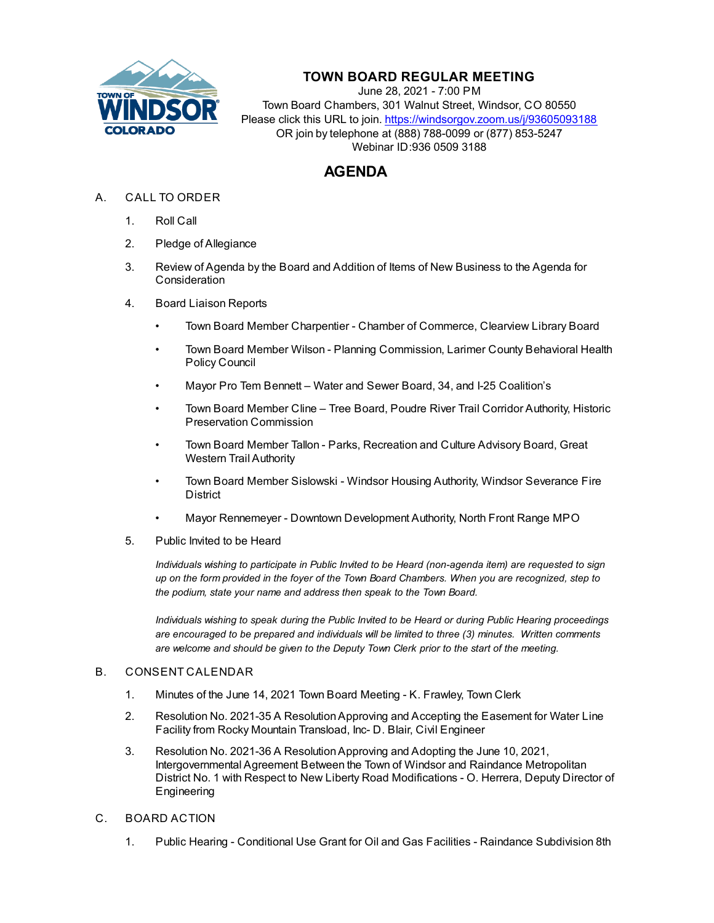

## **TOWN BOARD REGULAR MEETING**

June 28, 2021 - 7:00 PM Town Board Chambers, 301 Walnut Street, Windsor, CO 80550 Please click this URL to join. https://windsorgov.zoom.us/j/93605093188 OR join by telephone at (888) 788-0099 or (877) 853-5247 Webinar ID:936 0509 3188

## **AGENDA**

- A. CALL TO ORDER
	- 1. Roll Call
	- 2. Pledge of Allegiance
	- 3. Review of Agenda by the Board and Addition of Items of New Business to the Agenda for **Consideration**
	- 4. Board Liaison Reports
		- Town Board Member Charpentier Chamber of Commerce, Clearview Library Board
		- Town Board Member Wilson Planning Commission, Larimer County Behavioral Health Policy Council
		- Mayor Pro Tem Bennett Water and Sewer Board, 34, and I-25 Coalition's
		- Town Board Member Cline Tree Board, Poudre River Trail Corridor Authority, Historic Preservation Commission
		- Town Board Member Tallon Parks, Recreation and Culture Advisory Board, Great Western Trail Authority
		- Town Board Member Sislowski Windsor Housing Authority, Windsor Severance Fire District
		- Mayor Rennemeyer Downtown Development Authority, North Front Range MPO
	- 5. Public Invited to be Heard

*Individuals wishing to participate in Public Invited to be Heard (non-agenda item) are requested to sign up on the form provided in the foyer of the Town Board Chambers. When you are recognized, step to the podium, state your name and address then speak to the Town Board.*

*Individuals wishing to speak during the Public Invited to be Heard or during Public Hearing proceedings are encouraged to be prepared and individuals will be limited to three (3) minutes. Written comments are welcome and should be given to the Deputy Town Clerk prior to the start of the meeting.*

## B. CONSENT CALENDAR

- 1. [Minutes of the June 14, 2021 Town Board Meeting K. Frawley, Town Clerk](file:///C:/Windows/TEMP/CoverSheet.aspx?ItemID=1495&MeetingID=268)
- 2. [Resolution No. 2021-35 A Resolution Approving and Accepting the Easement for Water Line](file:///C:/Windows/TEMP/CoverSheet.aspx?ItemID=1482&MeetingID=268) Facility from Rocky Mountain Transload, Inc- D. Blair, Civil Engineer
- 3. Resolution No. 2021-36 A Resolution Approving and Adopting the June 10, 2021, Intergovernmental Agreement Between the Town of Windsor and Raindance Metropolitan [District No. 1 with Respect to New Liberty Road Modifications - O. Herrera, Deputy Director of](file:///C:/Windows/TEMP/CoverSheet.aspx?ItemID=1496&MeetingID=268) Engineering
- C. BOARD ACTION
	- 1. Public Hearing Conditional Use Grant for Oil and Gas Facilities Raindance Subdivision 8th